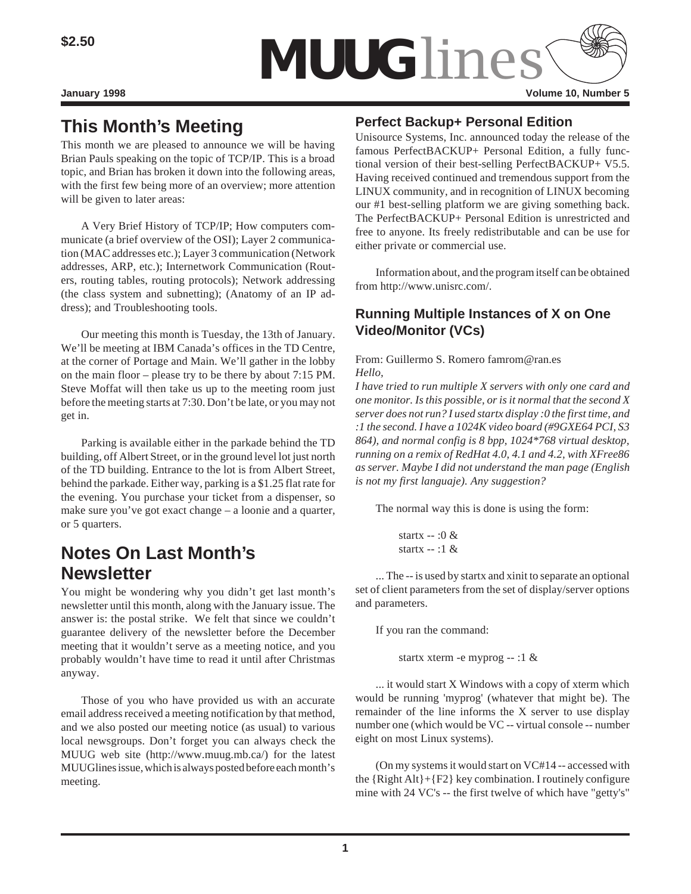

# **This Month's Meeting**

This month we are pleased to announce we will be having Brian Pauls speaking on the topic of TCP/IP. This is a broad topic, and Brian has broken it down into the following areas, with the first few being more of an overview; more attention will be given to later areas:

A Very Brief History of TCP/IP; How computers communicate (a brief overview of the OSI); Layer 2 communication (MAC addresses etc.); Layer 3 communication (Network addresses, ARP, etc.); Internetwork Communication (Routers, routing tables, routing protocols); Network addressing (the class system and subnetting); (Anatomy of an IP address); and Troubleshooting tools.

Our meeting this month is Tuesday, the 13th of January. We'll be meeting at IBM Canada's offices in the TD Centre, at the corner of Portage and Main. We'll gather in the lobby on the main floor – please try to be there by about 7:15 PM. Steve Moffat will then take us up to the meeting room just before the meeting starts at 7:30. Don't be late, or you may not get in.

Parking is available either in the parkade behind the TD building, off Albert Street, or in the ground level lot just north of the TD building. Entrance to the lot is from Albert Street, behind the parkade. Either way, parking is a \$1.25 flat rate for the evening. You purchase your ticket from a dispenser, so make sure you've got exact change – a loonie and a quarter, or 5 quarters.

# **Notes On Last Month's Newsletter**

You might be wondering why you didn't get last month's newsletter until this month, along with the January issue. The answer is: the postal strike. We felt that since we couldn't guarantee delivery of the newsletter before the December meeting that it wouldn't serve as a meeting notice, and you probably wouldn't have time to read it until after Christmas anyway.

Those of you who have provided us with an accurate email address received a meeting notification by that method, and we also posted our meeting notice (as usual) to various local newsgroups. Don't forget you can always check the MUUG web site (http://www.muug.mb.ca/) for the latest MUUGlines issue, which is always posted before each month's meeting.

## **Perfect Backup+ Personal Edition**

Unisource Systems, Inc. announced today the release of the famous PerfectBACKUP+ Personal Edition, a fully functional version of their best-selling PerfectBACKUP+ V5.5. Having received continued and tremendous support from the LINUX community, and in recognition of LINUX becoming our #1 best-selling platform we are giving something back. The PerfectBACKUP+ Personal Edition is unrestricted and free to anyone. Its freely redistributable and can be use for either private or commercial use.

Information about, and the program itself can be obtained from http://www.unisrc.com/.

# **Running Multiple Instances of X on One Video/Monitor (VCs)**

From: Guillermo S. Romero famrom@ran.es *Hello,*

*I have tried to run multiple X servers with only one card and one monitor. Is this possible, or is it normal that the second X server does not run? I used startx display :0 the first time, and :1 the second. I have a 1024K video board (#9GXE64 PCI, S3 864), and normal config is 8 bpp, 1024\*768 virtual desktop, running on a remix of RedHat 4.0, 4.1 and 4.2, with XFree86 as server. Maybe I did not understand the man page (English is not my first languaje). Any suggestion?*

The normal way this is done is using the form:

 startx -- :0 & startx -- :1  $\&$ 

... The -- is used by startx and xinit to separate an optional set of client parameters from the set of display/server options and parameters.

If you ran the command:

startx xterm -e myprog -- :1 &

... it would start X Windows with a copy of xterm which would be running 'myprog' (whatever that might be). The remainder of the line informs the X server to use display number one (which would be VC -- virtual console -- number eight on most Linux systems).

(On my systems it would start on VC#14 -- accessed with the {Right Alt}+{F2} key combination. I routinely configure mine with 24 VC's -- the first twelve of which have "getty's"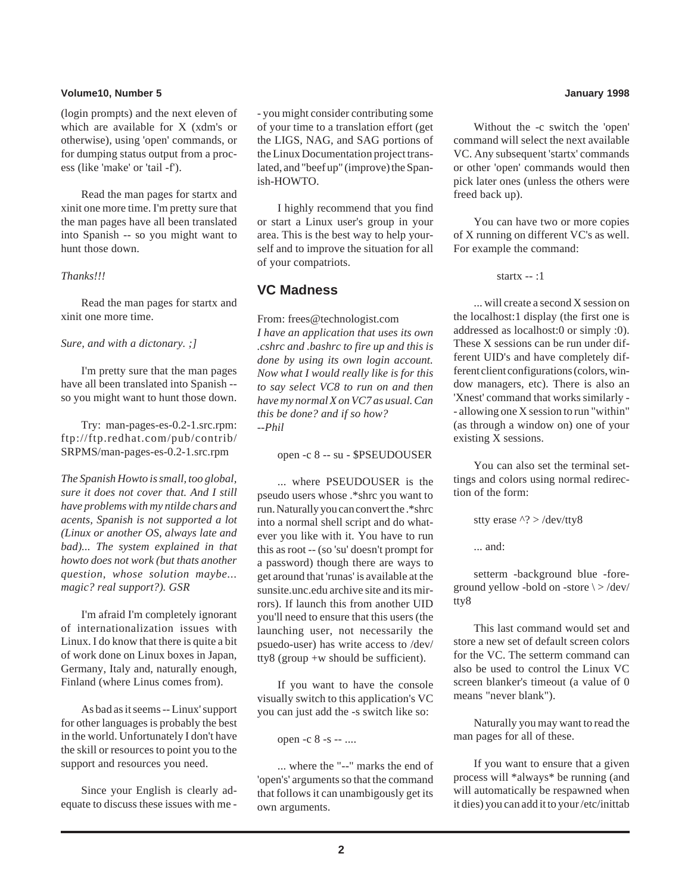### **Volume10, Number 5 January 1998**

(login prompts) and the next eleven of which are available for X (xdm's or otherwise), using 'open' commands, or for dumping status output from a process (like 'make' or 'tail -f').

Read the man pages for startx and xinit one more time. I'm pretty sure that the man pages have all been translated into Spanish -- so you might want to hunt those down.

### *Thanks!!!*

Read the man pages for startx and xinit one more time.

### *Sure, and with a dictonary. ;]*

I'm pretty sure that the man pages have all been translated into Spanish - so you might want to hunt those down.

Try: man-pages-es-0.2-1.src.rpm: ftp://ftp.redhat.com/pub/contrib/ SRPMS/man-pages-es-0.2-1.src.rpm

*The Spanish Howto is small, too global, sure it does not cover that. And I still have problems with my ntilde chars and acents, Spanish is not supported a lot (Linux or another OS, always late and bad)... The system explained in that howto does not work (but thats another question, whose solution maybe... magic? real support?). GSR*

I'm afraid I'm completely ignorant of internationalization issues with Linux. I do know that there is quite a bit of work done on Linux boxes in Japan, Germany, Italy and, naturally enough, Finland (where Linus comes from).

As bad as it seems -- Linux' support for other languages is probably the best in the world. Unfortunately I don't have the skill or resources to point you to the support and resources you need.

Since your English is clearly adequate to discuss these issues with me - - you might consider contributing some of your time to a translation effort (get the LIGS, NAG, and SAG portions of the Linux Documentation project translated, and "beef up" (improve) the Spanish-HOWTO.

I highly recommend that you find or start a Linux user's group in your area. This is the best way to help yourself and to improve the situation for all of your compatriots.

## **VC Madness**

From: frees@technologist.com *I have an application that uses its own .cshrc and .bashrc to fire up and this is done by using its own login account. Now what I would really like is for this to say select VC8 to run on and then have my normal X on VC7 as usual. Can this be done? and if so how? --Phil*

open -c 8 -- su - \$PSEUDOUSER

... where PSEUDOUSER is the pseudo users whose .\*shrc you want to run. Naturally you can convert the .\*shrc into a normal shell script and do whatever you like with it. You have to run this as root -- (so 'su' doesn't prompt for a password) though there are ways to get around that 'runas' is available at the sunsite.unc.edu archive site and its mirrors). If launch this from another UID you'll need to ensure that this users (the launching user, not necessarily the psuedo-user) has write access to /dev/ tty8 (group +w should be sufficient).

If you want to have the console visually switch to this application's VC you can just add the -s switch like so:

open -c 8 -s -- ....

... where the "--" marks the end of 'open's' arguments so that the command that follows it can unambigously get its own arguments.

Without the -c switch the 'open' command will select the next available VC. Any subsequent 'startx' commands or other 'open' commands would then pick later ones (unless the others were freed back up).

You can have two or more copies of X running on different VC's as well. For example the command:

startx -- :1

... will create a second X session on the localhost:1 display (the first one is addressed as localhost:0 or simply :0). These X sessions can be run under different UID's and have completely different client configurations (colors, window managers, etc). There is also an 'Xnest' command that works similarly - - allowing one X session to run "within" (as through a window on) one of your existing X sessions.

You can also set the terminal settings and colors using normal redirection of the form:

stty erase ^? > /dev/tty8

... and:

setterm -background blue -foreground yellow -bold on -store \ > /dev/ tty8

This last command would set and store a new set of default screen colors for the VC. The setterm command can also be used to control the Linux VC screen blanker's timeout (a value of 0 means "never blank").

Naturally you may want to read the man pages for all of these.

If you want to ensure that a given process will \*always\* be running (and will automatically be respawned when it dies) you can add it to your /etc/inittab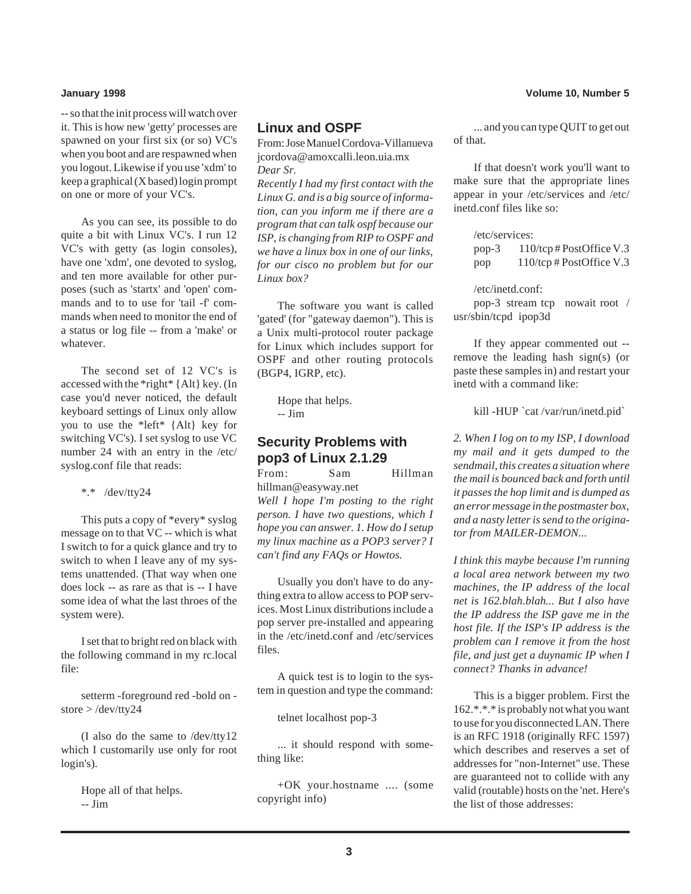-- so that the init process will watch over it. This is how new 'getty' processes are spawned on your first six (or so) VC's when you boot and are respawned when you logout. Likewise if you use 'xdm' to keep a graphical (X based) login prompt on one or more of your VC's.

As you can see, its possible to do quite a bit with Linux VC's. I run 12 VC's with getty (as login consoles), have one 'xdm', one devoted to syslog, and ten more available for other purposes (such as 'startx' and 'open' commands and to to use for 'tail -f' commands when need to monitor the end of a status or log file -- from a 'make' or whatever.

The second set of 12 VC's is accessed with the \*right\* {Alt} key. (In case you'd never noticed, the default keyboard settings of Linux only allow you to use the \*left\* {Alt} key for switching VC's). I set syslog to use VC number 24 with an entry in the /etc/ syslog.conf file that reads:

\*.\* /dev/tty24

This puts a copy of \*every\* syslog message on to that VC -- which is what I switch to for a quick glance and try to switch to when I leave any of my systems unattended. (That way when one does lock -- as rare as that is -- I have some idea of what the last throes of the system were).

I set that to bright red on black with the following command in my rc.local file:

setterm -foreground red -bold on store > /dev/tty24

(I also do the same to /dev/tty12 which I customarily use only for root login's).

> Hope all of that helps. -- Jim

### **Linux and OSPF**

From: Jose Manuel Cordova-Villanueva jcordova@amoxcalli.leon.uia.mx *Dear Sr.*

*Recently I had my first contact with the Linux G. and is a big source of information, can you inform me if there are a program that can talk ospf because our ISP, is changing from RIP to OSPF and we have a linux box in one of our links, for our cisco no problem but for our Linux box?*

The software you want is called 'gated' (for "gateway daemon"). This is a Unix multi-protocol router package for Linux which includes support for OSPF and other routing protocols (BGP4, IGRP, etc).

> Hope that helps. -- Jim

### **Security Problems with pop3 of Linux 2.1.29**

From: Sam Hillman hillman@easyway.net *Well I hope I'm posting to the right person. I have two questions, which I hope you can answer. 1. How do I setup my linux machine as a POP3 server? I can't find any FAQs or Howtos.*

Usually you don't have to do anything extra to allow access to POP services. Most Linux distributions include a pop server pre-installed and appearing in the /etc/inetd.conf and /etc/services files.

A quick test is to login to the system in question and type the command:

telnet localhost pop-3

... it should respond with something like:

+OK your.hostname .... (some copyright info)

... and you can type QUIT to get out of that.

If that doesn't work you'll want to make sure that the appropriate lines appear in your /etc/services and /etc/ inetd.conf files like so:

/etc/services: pop-3 110/tcp # PostOffice V.3 pop 110/tcp # PostOffice V.3

/etc/inetd.conf: pop-3 stream tcp nowait root / usr/sbin/tcpd ipop3d

If they appear commented out - remove the leading hash sign(s) (or paste these samples in) and restart your inetd with a command like:

kill -HUP `cat /var/run/inetd.pid`

*2. When I log on to my ISP, I download my mail and it gets dumped to the sendmail, this creates a situation where the mail is bounced back and forth until it passes the hop limit and is dumped as an error message in the postmaster box, and a nasty letter is send to the originator from MAILER-DEMON...*

*I think this maybe because I'm running a local area network between my two machines, the IP address of the local net is 162.blah.blah... But I also have the IP address the ISP gave me in the host file. If the ISP's IP address is the problem can I remove it from the host file, and just get a duynamic IP when I connect? Thanks in advance!*

This is a bigger problem. First the 162.\*.\*.\* is probably not what you want to use for you disconnected LAN. There is an RFC 1918 (originally RFC 1597) which describes and reserves a set of addresses for "non-Internet" use. These are guaranteed not to collide with any valid (routable) hosts on the 'net. Here's the list of those addresses: